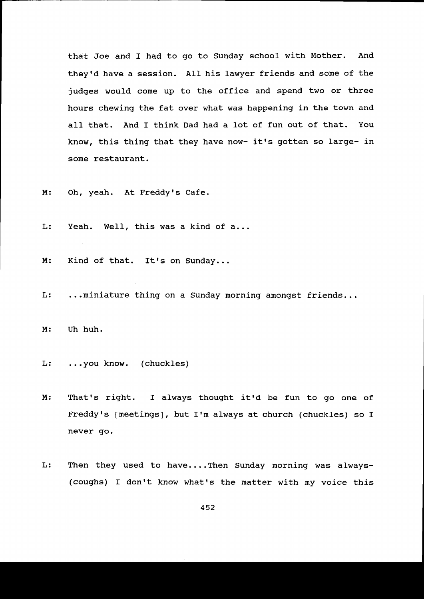that Joe and I had to go to Sunday school with Mother. And they'd have a session. All his lawyer friends and some of the judges would come up to the office and spend two or three hours chewing the fat over what was happening in the town and a1I that. And I think Dad had a 1ot of fun out of that. You know, this thing that they have now- it's gotten so large- in some restaurant.

M: Oh, yeah. At Freddy's Cafe.

 $L:$ Yeah. Well, this was a kind of a...

 $M:$ Kind of that. It's on Sunday...

L: ...miniature thing on a Sunday morning amongst friends...

M: Uh huh.

L: ...you know. (chuckles)

M: That's right. I always thought it'd be fun to go one of Freddy's [meetings], but I'm always at church (chuckles) so I never go.

L: Then they used to have....Then Sunday morning was always-(coughs) I don't know what's the matter with my voice this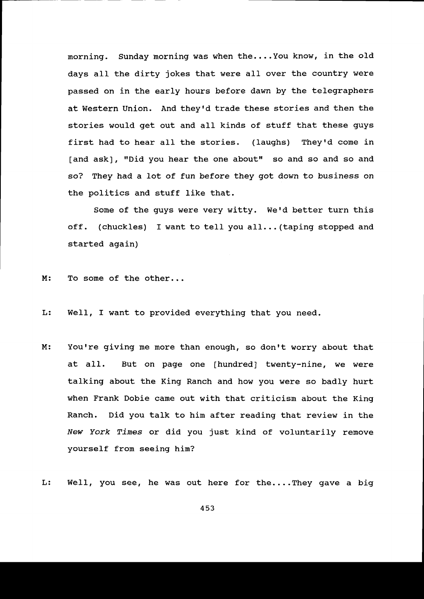morning. Sunday morning was when the....You know, in the old days all the dirty jokes that were all over the country were passed on in the early hours before dawn by the telegraphers at Western Union. And theyrd trade these stories and then the stories would get out and aII kinds of stuff that these guys first had to hear all the stories. (laughs) They'd come in [and ask], "Did you hear the one about" so and so and so and so? They had a lot of fun before they got down to business on the politics and stuff like that.

Some of the guys were very witty. We'd better turn this off. (chuckles) I want to tell you all... (taping stopped and started again)

 $M:$ To some of the other...

L: WeII, I want to provided everything that you need.

M: You're giving me more than enough, so don't worry about that at all. But on page one [hundred] twenty-nine, we were talking about the King Ranch and how you were so badly hurt when Frank Dobie came out with that criticism about the King Ranch. Did you talk to him after reading that review in the New York Times or did you just kind of voluntarily remove yourself from seeing hin?

L: WelI, you see, he was out here for the....They gave a biq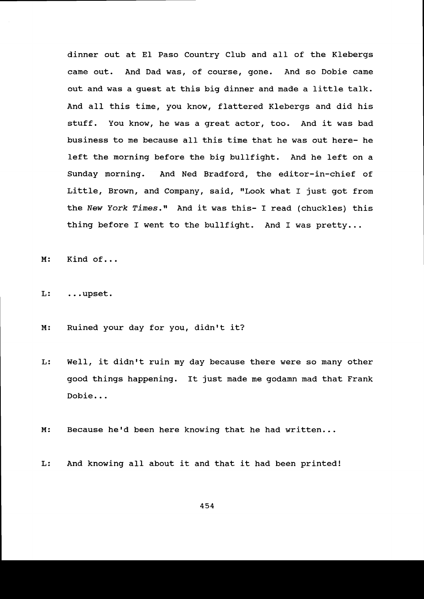dinner out at E1 Paso Country Club and all of the Klebergs came out. And Dad was, of course, gone. And so Dobie came out and was a guest at this big dinner and made a little ta1k. And all this time, you know, flattered Klebergs and did his stuff. You know, he was a great actor, too. And it was bad business to me because all this time that he was out here- he left the morning before the big bullfight. And he left on a Sunday morning. And Ned Bradford, the editor-in-chief of Little, Brown, and Company, said, "Look what I just got from the New York Times." And it was this- I read (chuckles) this thing before I went to the bullfight. And I was pretty...

M: Kind of...

L: .. .upset.

M: Ruined your day for you, didn't it?

Well, it didn't ruin my day because there were so many other good things happening. It just made me godamn mad that Frank Dobie...  $L:$ 

M: Because he'd been here knowing that he had written...

L: And knowing all about it and that it had been printed!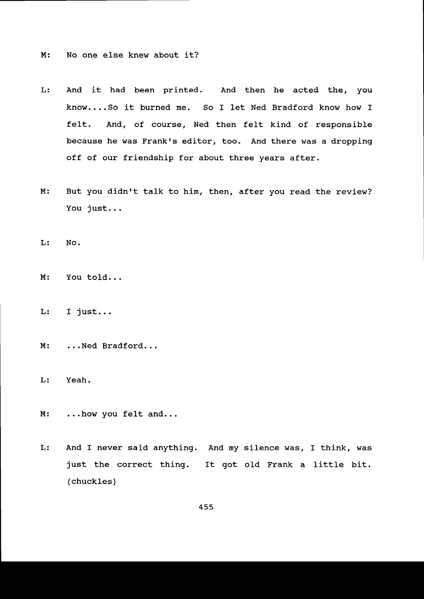M: No one else knew about it?

- L : And it had been printed. And then he acted the, you know....So it burned me. So I let Ned Bradford know how I felt. And, of course, Ned then felt kind of responsible because he was Frank's editor, too. And there was a dropping off of our friendship for about three years after.
- M: But you didn't talk to him, then, after you read the review You just...

 $L: No.$ 

- M: You told...
- L: I just...
- $M:$ ...Ned Bradford...

 $L:$ Yeah.

- $M:$ ...how you felt
- And I never said anything. And my silence was, f think, was L: just the correct thing. It got old Frank a little bit. (chuckles)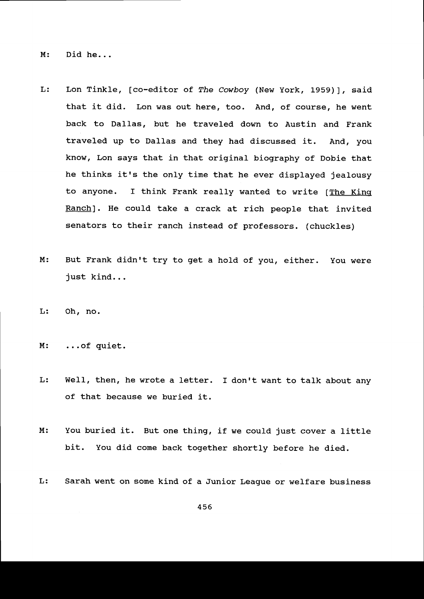M: Did he...

- L: Lon Tinkle, [co-editor of The Cowboy (New York, L959)], said that it did. Lon was out here, too. And, of course, he went back to Dal1as, but he traveled down to Austin and Frank traveled up to Dallas and they had discussed it. And, you know, Lon says that in that original biography of Dobie that he thinks it's the only time that he ever displayed jealousy to anyone. I think Frank really wanted to write [The King Ranch]. He could take a crack at rich people that invited senators to their ranch instead of professors. (chuckles)
- M: But Frank didn't try to get a hold of you, either. You were just kind...
- L: Oh, no.
- M: ...of quiet.
- L: Well, then, he wrote a letter. I don't want to talk about any of that because we buried it,.
- M: You buried it. But one thing, if we could just cover a litt bit. You did come back together shortly before he died.
- L: Sarah went on some kind of a Junior League or welfare business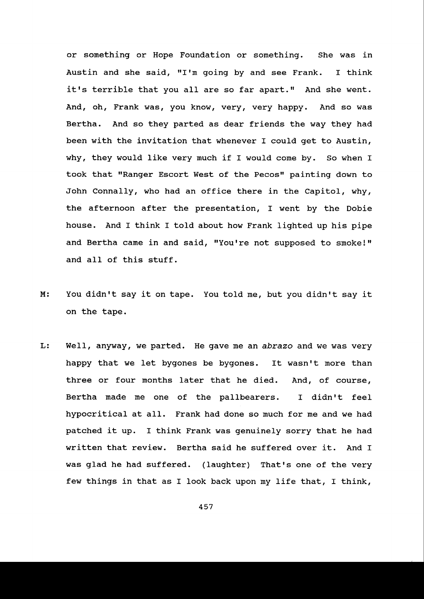or something or Hope Foundation or something. She was in Austin and she said, "I'm going by and see Frank. I think it's terrible that you all are so far apart." And she went. And, oh, Frank was, you know, very, very happy. And so was Bertha. And so they parted as dear friends the way they had been with the invitation that whenever I could get to Austin, why, they would like very much if I would come by. So when I took that "Ranger Escort West of the Pecos" painting down to John Connally, who had an office there in the Capitol, why, the afternoon after the presentation, I went by the Dobie house. And I think I told about how Frank lighted up his pipe and Bertha came in and said, "You're not supposed to smoke!" and all of this stuff.

- M: You didn't say it on tape. You told me, but you didn't say it on the tape.
- L: Well, anyway, we parted. He gave me an abrazo and we was very happy that we let bygones be bygones. It wasn't more than three or four months later that he died. And, of course, Bertha made me one of the pallbearers. I didn't feel hypocritical at all. Frank had done so much for me and we had patched it up. I think Frank was genuinely sorry that he had written that review. Bertha said he suffered over it. And I was glad he had suffered. (laughter) That's one of the very few things in that as I look back upon ny life that, I think,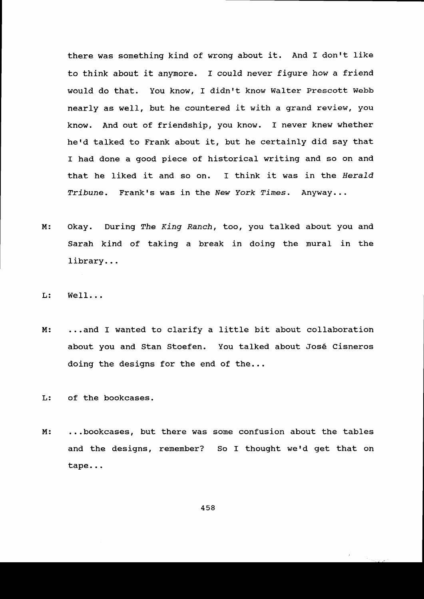there was something kind of wrong about it. And I don't like to think about it anymore. I could never figure how a friend would do that. You know, I didn't know Walter Prescott Webb nearly as welI, but he countered it with a grand review, you know. And out of friendship, you know. I never knew whether he'd talked to Frank about it, but he certainly did say that I had done a good piece of historical writing and so on and that he liked it and so on. I think it was in the Herald Tribune. Frank's was in the New York Times. Anyway...

- M: Okay. During The King Ranch, too, you talked about you and Sarah kind of taking a break in doing the mural in the library. . .
- $L:$  Well...
- ...and I wanted to clarify a little bit about collaboration about you and Stan Stoefen. You talked about Jos6 Cisneros doing the designs for the end of the... M :

L: of the bookcases.

M: ...bookcases, but there was some confusion about the table and the designs, remember? So I thought we'd get that on tape...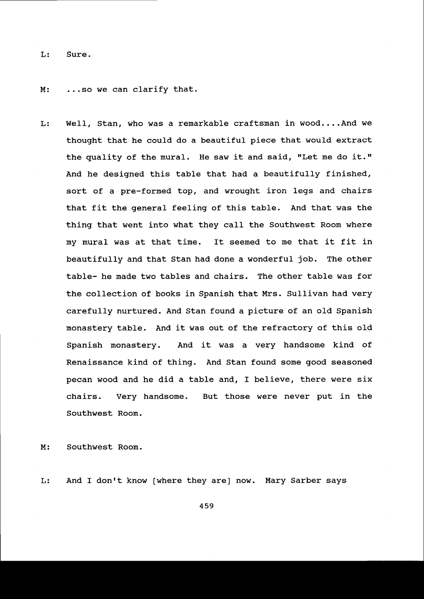L: Sure.

M: ...so we can clarify that.

L: WeIl, Stan, who was a remarkable craftsman in wood....And we thought that he could do a beautiful piece that would extract the quality of the mural. He saw it and said, "Let me do it." And he designed this table that had a beautifully finished, sort of a pre-formed top, and wrought iron legs and chairs that fit the general feeling of this tab1e. And that was the thing that went into what they call the Southwest Room where my mural was at that time. It seemed to me that it fit in beautifully and that Stan had done a wonderful job. The other table- he made two tables and chairs. The other table was for the collection of books in Spanish that Mrs. Sullivan had very carefully nurtured. And Stan found a picture of an old Spanish monastery tab1e. And it was out of the refractory of this old Spanish monastery. And it was a very handsome kind of Renaissance kind of thing. And Stan found some good seasoned pecan wood and he did a table and, I believe, there were six chairs. Very handsome. But those were never put in the Southwest Room.

M: Southwest Room.

L: And I don't know [where they are] now. Mary Sarber says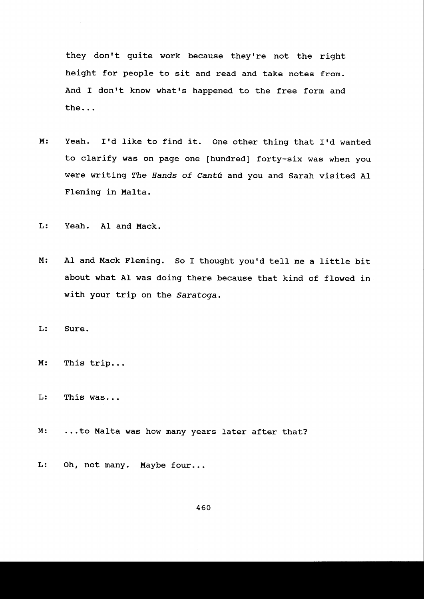they don't quite work because they're not the right height for people to sit and read and take notes from. And I don't know what's happened to the free form and the...

M: Yeah. I'd like to find it. One other thing that I'd wanted to clarify was on page one [hundred] forty-six was when you were writing The Hands of Cantú and you and Sarah visited Al Flening in Malta.

L: Yeah. AI and Mack.

M: Al and Mack Fleming. So I thought you'd tell me a little bit about what AI was doing there because that kind of flowed in with your trip on the Saratoga.

Sure. L :

M: This trip...

This was... L:

..to Malta was how many years later after that? M :

L: Oh, not many. Maybe four...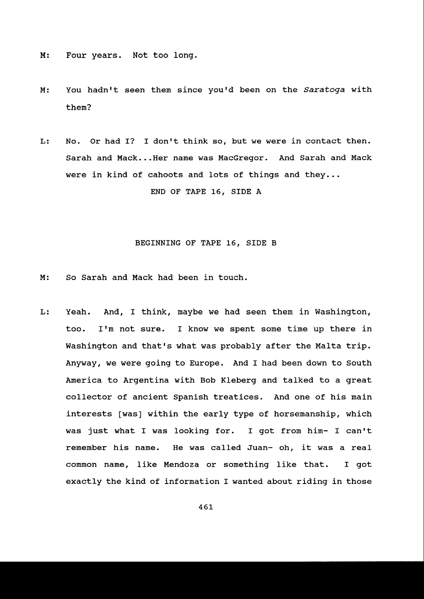M: Four years. Not too long.

M : You hadn't seen them since you'd been on the Saratoga with them?

L: No. Or had I? I don't think so, but we were in contact then. Sarah and Mack...Her name was MacGregor. And Sarah and Mack were in kind of cahoots and lots of things and they...

END OF TAPE 16, SIDE A

## BEGINNING OF TAPE 16, SIDE B

- M: So Sarah and Mack had been in touch.
- L: Yeah. And, I think, maybe we had seen then in Washington, too. I'm not sure. I know we spent some time up there in Washington and that's what was probably after the Malta trip. Anyway, we were going to Europe. And T had been down to South America to Argentina with Bob Kleberg and talked to a great collector of ancient Spanish treatices. And one of his main interests [was] within the early type of horsemanship, which was just what I was looking for. I got from him- I can't remember his name. He was called Juan- oh, it was a real common name, Iike Mendoza or something like that. I got exactly the kind of information I wanted about riding in those

46L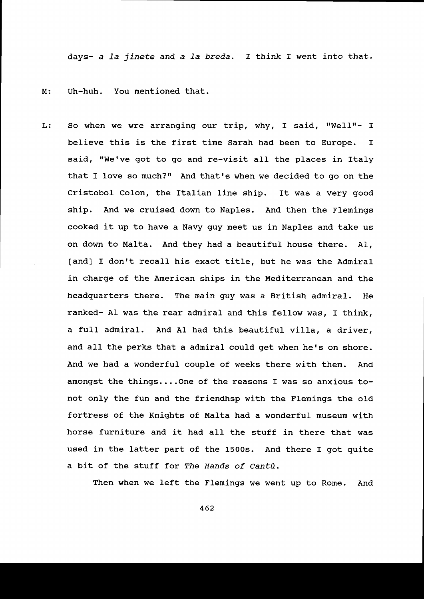days- a la jinete and a la breda. I think I went into that.

M: Uh-huh. You mentioned that.

L: So when we wre arranging our trip, why, I said, "Well"- I believe this is the first time Sarah had been to Europe. I said, "We've got to go and re-visit all the places in Italy that I love so much?" And that's when we decided to go on the Cristobol Colon, the Italian line ship. It was a very good ship. And we cruised down to Naples. And then the Flenings cooked it up to have a Navy guy meet us in Naples and take us on down to Malta. And they had a beautiful house there. A1, [and] I don't recall his exact title, but he was the Admiral in charge of the American ships in the Mediterranean and the headquarters there. The main guy was a British admiral. He ranked- AI was the rear admiral and this fe1low was, I think, a fuII admiral. And Al had this beautiful villa, a driver, and all the perks that a admiral could get when he's on shore. And we had a wonderful couple of weeks there with them. And amongst the things....One of the reasons I was so anxious tonot only the fun and the friendhsp with the Flemings the old fortress of the Knights of Malta had a wonderful museum with horse furniture and it had all the stuff in there that was used in the latter part of the 15OOs. And there I got quite a bit of the stuff for The Hands of Cantú.

Then when we left the Flemings we went up to Rome. And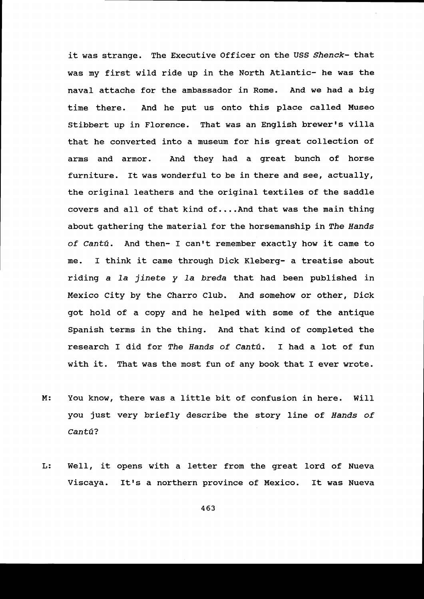it was strange. The Executive Officer on the USS Shenck- that was my first wild ride up in the North Atlantic- he was the naval attache for the ambassador in Rome. And we had a big time there. And he put us onto this place called Museo Stibbert up in Florence. That was an English brewer's villa that he converted into a museum for his great collection of arms and armor. And they had a great bunch of horse furniture. It was wonderful to be in there and see, actually, the original leathers and the original textiles of the saddle covers and all of that kind of....And that was the main thing about gathering the material for the horsemanship in The Hands of Cantú. And then- I can't remember exactly how it came to me. I think it came through Dick Kleberg- a treatise about riding a la jinete y la breda that had been published in Mexico City by the Charro Club. And somehow or other, Dick got hold of a copy and he helped with some of the antique Spanish terms in the thing. And that kind of completed the research I did for The Hands of Cantú. I had a lot of fun with it. That was the most fun of any book that I ever wrote.

- M : You know, there was a little bit of confusion in here. Will you just very briefly describe the story line of Hands of Cantú?
- Well, it opens with a letter from the great lord of Nueva Viscaya. It's a northern province of Mexico. It was Nueva L :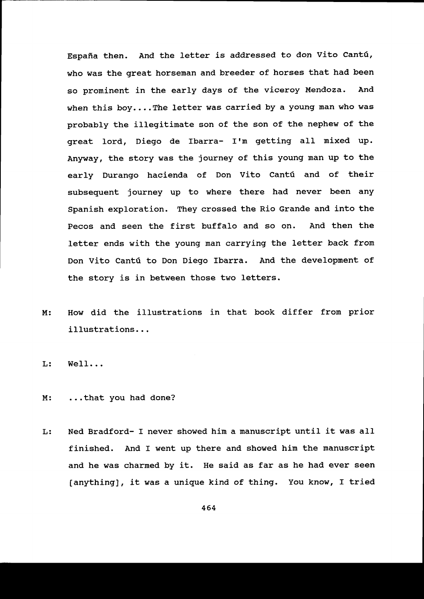España then. And the letter is addressed to don Vito Cantú, who was the great horseman and breeder of horses that had been so prominent in the early days of the viceroy Mendoza. And when this boy....The letter was carried by a young man who was probably the illegitimate son of the son of the nephew of the great lord, Diego de lbarra- Irm getting all mixed up. Anyway, the story was the journey of this young man up to the early Durango hacienda of Don Vito Cantú and of their subsequent journey up to where there had never been any Spanish exploration. They crossed the Rio Grande and into the Pecos and seen the first buffalo and so on. And then the letter ends with the young man carrying the letter back from Don Vito Cantú to Don Diego Ibarra. And the development of the story is in between those two letters.

How did the illustrations in that book differ from prior illustrations. . . M :

WeIl... L :

- M: ...that you had done?
- L: Ned Bradford- I never showed him a manuscript until it was all finished. And I went up there and showed him the manuscript and he was charned by it. He said as far as he had ever seen [anything], it was a unique kind of thing. You know, I tried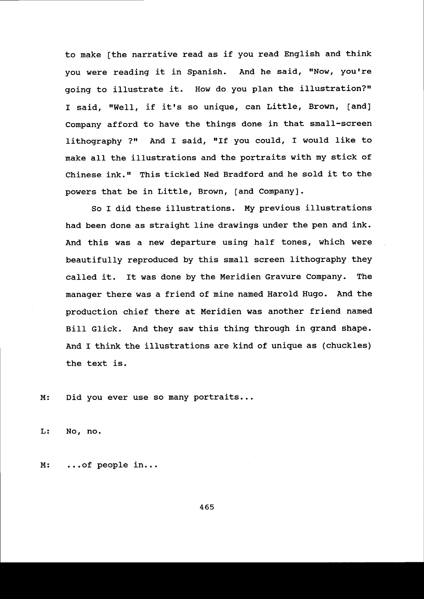to make [the narrative read as if you read English and think you were reading it in Spanish. And he said, "Now, you're going to illustrate it. How do you plan the illustration?" I said, "Well, if it's so unique, can Little, Brown, [and] Company afford to have the things done in that small-screen lithography ?" And I said, "If you could, I would like to make all the illustrations and the portraits with my stick of Chinese ink." This tickled Ned Bradford and he sold it to the powers that be in Little, Brown, [and Company].

So I did these illustrations. My previous illustrations had been done as straight line drawings under the pen and ink. And this was a new departure using half tones, which were beautifully reproduced by this smalI screen lithography they catled it. It was done by the Meridien Gravure Company. The manager there was a friend of mine named Harold Hugo. And the production chief there at Meridien was another friend named BiIl Glick. And they saw this thing through in grand shape. And I think the illustrations are kind of unique as (chuckles) the text is.

M: Did you ever use so many portraits...

L: No, no.

M: ...of people in...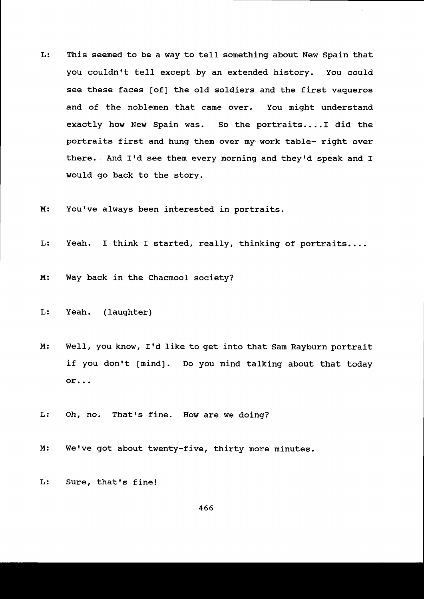- L: This seemed to be a way to tell something about New Spain that you couldn't tell except by an extended history. You could see these faces [of] the old soldiers and the first vaqueros and of the noblemen that came over. You might understand exactly how New Spain was. So the portraits....I did the portraits first and hung them over my work table- right over there. And I'd see them every morning and they'd speak and I would go back to the story.
- M: You've always been interested in portraits.
- L: Yeah. I think I started, really, thinking of portraits....
- M: Way back in the Chacmool society?
- L: Yeah. (laughter)
- $M:$ Well, you know, I'd like to get into that Sam Rayburn portra if you don't [mind]. Do you mind talking about that toda or...
- L: Oh, no. That's fine. How are we doing?
- $M:$ We've got about twenty-five, thirty more minutes.
- L: Sure, that's fine!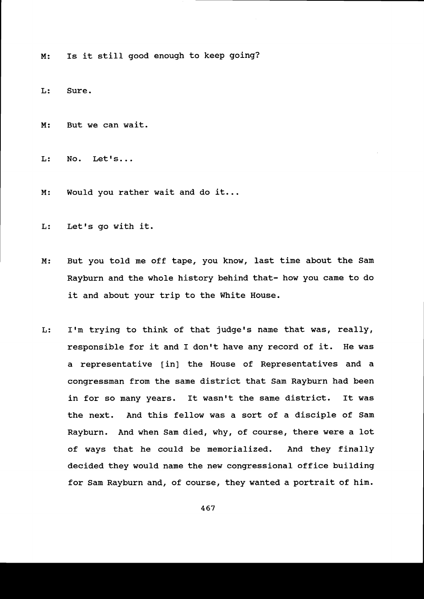M: Is it still good enough to keep going?

L: Sure.

- M: But we can wait.
- $L:$  No. Let's...
- M: Would you rather wait and do it...
- L: Let's go with it.
- But you told me off tape, you know, last time about the Sam Rayburn and the whole history behind that- how you came to do it and about your trip to the White House.  $M:$
- I'm trying to think of that judge's name that was, really,  $L:$ responsible for it and I don't have any record of it. He was a representative [in] the House of Representatives and a congressman from the same district that San Rayburn had been in for so many years. It wasn't the same district. It was the next. And this fellow was a sort of a disciple of Sam Rayburn. And when Sam died, why, of course, there were a lot of ways that he could be memorialized. And they finally decided they would name the new congressional office building for Sam Rayburn and, of course, they wanted a portrait of him.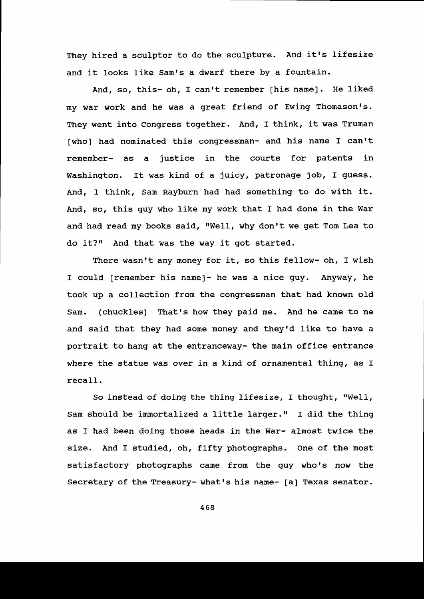They hired a sculptor to do the sculpture. And it's lifesize and it looks like Sam's a dwarf there by a fountain.

And, so, this- oh, I can't remember [his name]. He liked my war work and he was a great friend of Ewing Thomason's. They went into congress together. And, I think, it was Truman [who] had nominated this congressman- and his name I can't remember- as a justice in the courts for patents in Washington. It was kind of a juicy, patronage job, I guess. And, I think, Sam Rayburn had had something to do with it. And, so, this guy who like my work that I had done in the War and had read my books said, "Well, why don't we get Tom Lea to do it?" And that was the way it got started.

There wasn't any money for it, so this fellow- oh, I wish I could [remember his name]- he was a nice guy. Anyway, he took up a collection from the congressman that had known old Sam. (chuckles) That's how they paid me. And he came to me and said that they had some money and they'd like to have a portrait to hang at the entranceway- the main office entrance where the statue was over in a kind of ornamental thing, as I recall.

So instead of doing the thing lifesize, I thought, "Well, Sam should be immortalized a little larger." I did the thing as I had been doing those heads in the War- almost twice the size. And I studied, oh, fifty photographs. One of the most satisfactory photographs came from the guy who's now the Secretary of the Treasury- what's his name- [a] Texas senator.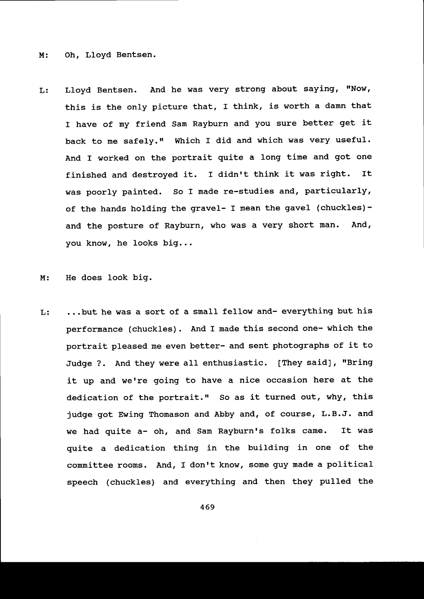M: oh, Lloyd Bentsen.

L: Lloyd Bentsen. And he was very strong about saying, "Now, this is the only picture that, I think, is worth a damn that I have of my friend Sam Rayburn and you sure better get it back to me safely." Which I did and which was very useful. And I worked on the portrait quite a long tine and got one finished and destroyed it. I didn't think it was right. ft was poorly painted. So I made re-studies and, particularly, of the hands holding the gravel- I mean the gavel (chuckles) and the posture of Rayburn, who was a very short man. And, you know, he looks big...

M: He does look big.

...but he was a sort of a small fellow and- everything but his L: performance (chuckles). And I made this second one- which the portrait pleased me even better- and sent photographs of it to Judge ?. And they were all enthusiastic. [They said], "Bring it up and we're going to have a nice occasion here at the dedication of the portrait." So as it turned out, why, this judge got Ewing Thomason and Abby and, of course, L.B.J. and we had quite a- oh, and Sam Rayburn's folks came. It was quite a dedication thing in the building in one of the committee rooms. And, I don't know, some guy made a political speech (chuckles) and everything and then they pulled the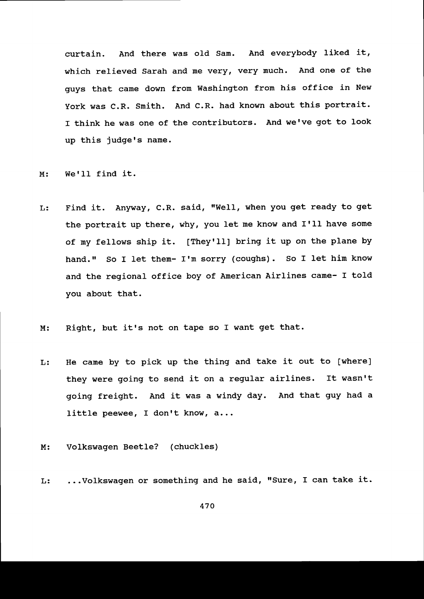curtain. And there was o1d Sam. And everybody liked it, which relieved Sarah and me very, very much. And one of the guys that came down from Washington from his office in New York was C.R. Smith. And C.R. had known about this portrait. I think he was one of the contributors. And we've got to look up this judge's name.

M: We'll find it.

- L: Find it. Anyway, C.R. said, "Well, when you get ready to get the portrait up there, why, you let me know and I'll have some of my fellows ship it. [They'Il] bring it up on the plane by hand." So I let them- I'm sorry (coughs). So I let him know and the regional office boy of American Airlines came- I told you about that.
- M: Right, but it's not on tape so I want get that.
- L: He came by to pick up the thing and take it out to [where] they were going to send it on a regular airlines. It wasn't going freight. And it was a windy day. And that guy had a little peewee, I don't know, a...
- M: Volkswagen Beetle? (chuckles)
- L: ...Volkswagen or something and he said, "Sure, I can take it.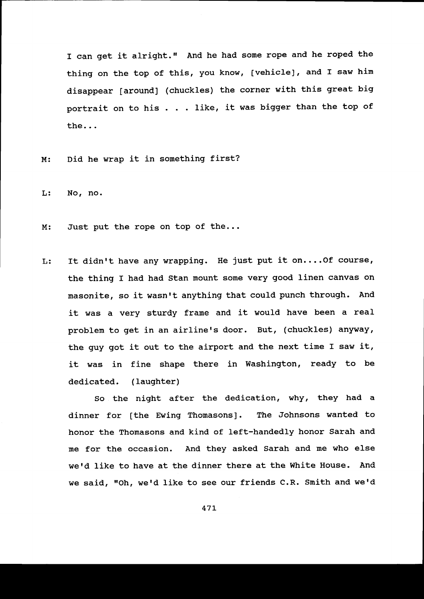disappear [around] (chuckles) the corner with this great big portrait on to his . . . like, it was bigger than the top of the... I can get it alright." And he had some rope and he roped the thing on the top of this, you know, [vehicle], and I saw him

Did he wrap it in something first?  $M:$ 

L: No, no.

Just put the rope on top of the...  $M:$ 

It didn't have any wrapping. He just put it on.... Of course, L: the thing I had had Stan mount some very good linen canvas on masonite, so it wasn't anything that could punch through. And it was a very sturdy frame and it would have been a reaL problem to get in an airline's door. But, (chuckles) anyway, the guy got it out to the airport and the next time I saw it, it was in fine shape there in Washington, ready to be dedicated. (laughter)

so the night after the dedication, whY, they had a dinner for [the Ewing Thomasons]. The Johnsons wanted to honor the Thomasons and kind of left-handedly honor Sarah and me for the occasion. And they asked Sarah and me who else werd like to have at the dinner there at the White House. And we said, "Oh, we'd like to see our friends C.R. Smith and we'd

47L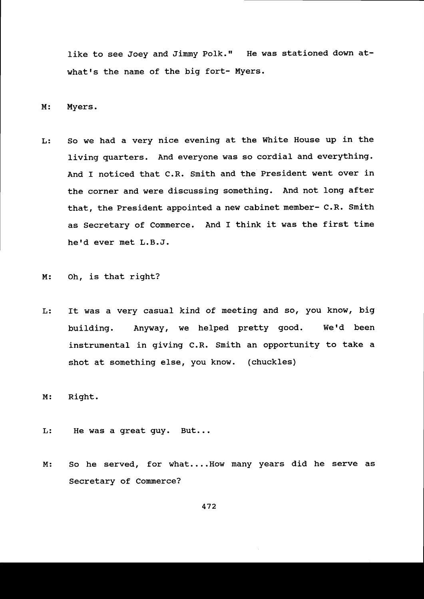like to see Joey and Jimmy Polk." He was stationed down atwhat's the name of the big fort- Myers.

M: Myers.

L: So we had a very nice evening at the White House up in the Iiving quarters. And everyone was so cordial and everything. And I noticed that C.R. Smith and the President went over in the corner and were discussing something. And not long after that, the President appointed a new cabinet member- C.R. Smith as Secretary of Commerce. And I think it was the first time he'd ever met L.B.J.

M: oh, is that right?

L: It was a very casual kind of meeting and so, you know, big building. Anyway, we helped pretty good. We'd been instrumental in giving C.R. Snith an opportunity to take a shot at something else, you know. (chuckles)

 $M:$ Right.

- He was a great guy. But. L:
- M: So he served, for what....How many years did he serve as Secretary of Commerce?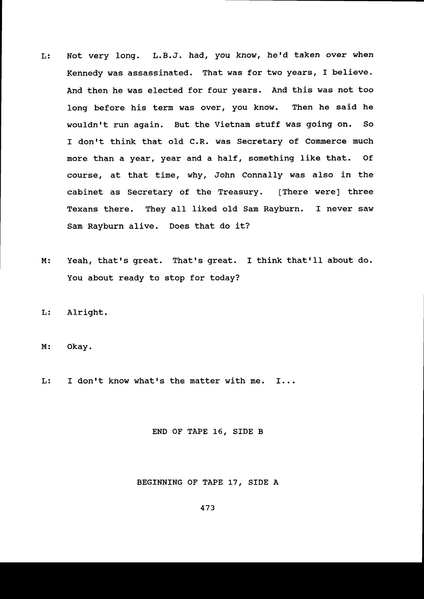- L: Not very long. L.B.J. had, you know, he'd taken over when Kennedy was assassinated. That was for two years, I believe. And then he was elected for four years. And this was not too long before his term was over, you know. Then he said he wouldn't run again. But the Vietnam stuff was going on. So I don't think that old C.R. was Secretary of Commerce much more than a year, year and a half, something like that. of course, dt that tine, why, John Connally was also in the cabinet as Secretary of the Treasury. [There were] three Texans there. They all liked old Sam Rayburn. I never saw Sam Rayburn alive. Does that do it?
- Yeah, that's great. That's great. I think that'll about do. You about ready to stop for today? M :
- $L:$ Alright.
- $M:$ Okay.
- L: I don't know what's the matter with me.  $I...$

### END OF TAPE L6, SIDE B

#### BEGINNING OF TAPE 17, SIDE A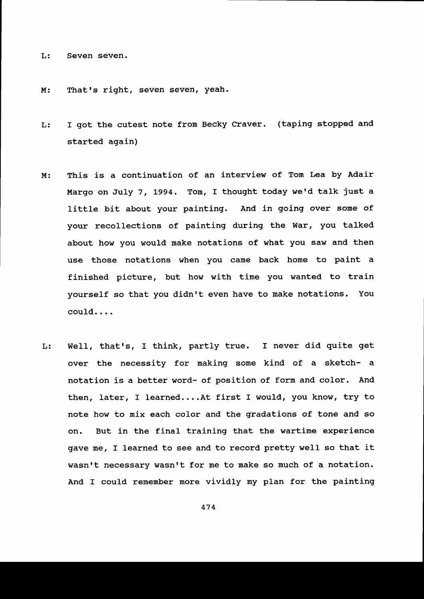L: Seven seven.

M: That's right, seven seven, yeah.

- L: I got the cutest note from Becky Craver. (taping stopped and started again)
- M: This is a continuation of an interview of Tom Lea by Adair Margo on July 7, 1994. Tom, I thought today we'd talk just a little bit about your painting. And in going over some of your recollections of painting during the War, you talked about how you would make notations of what you saw and then use those notations when you came back home to paint a finished picture, but how with time you wanted to train yourself so that you didn't even have to make notations. You couId....
- L: Well, that's, I think, partly true. I never did quite get over the necessity for making some kind of a sketch- a notation is a better word- of position of form and color. And then, later, I learned....At first I would, you know, try to note how to nix each color and the gradations of tone and so on. But in the final training that the wartime experience gave me, I learned to see and to record pretty well so that it wasn't necessary wasn't for me to make so much of a notation. And I could remember more vividly my plan for the painting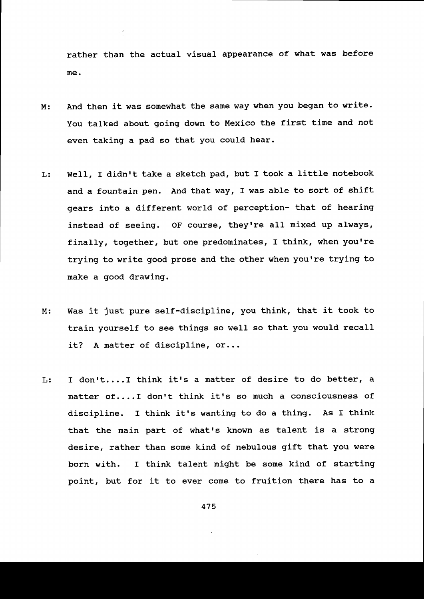rather than the actual visual appearance of what was before me.

- M : And then it was somewhat the same way when you began to write. You talked about going down to Mexico the first time and not even taking a pad so that you could hear.
- Well, I didn't take a sketch pad, but I took a little notebook and a fountain pen. And that way, I was able to sort of shift gears into a different world of perception- that of hearing instead of seeing. OF course, they're all mixed up always, finally, together, but one predominates, I think, when you're trying to write good prose and the other when you're trying to make a good drawing. L:
- Was it just pure self-discipline, you think, that it took to  $M:$ train yourself to see things so well so that you would recall it? A matter of discipline, or...
- I don't....I think it's a matter of desire to do better, a L: matter of....I don't think it's so much a consciousness of discipline. I think it's wanting to do a thing. As I think that the main part of what's known as talent is a strong desire, rather than some kind of nebulous gift that you were born with. I think talent might be some kind of starting point, but for it to ever come to fruition there has to a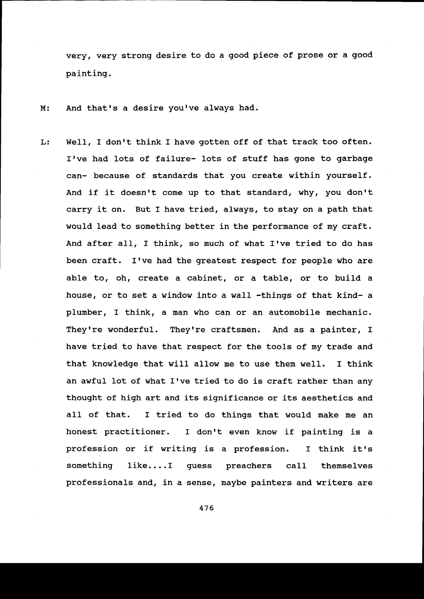very, very strong desire to do a good piece of prose or a good painting.

- And that's a desire you've always had.  $M:$
- L: Well, I don't think I have gotten off of that track too often. I've had lots of failure- lots of stuff has gone to garbage can- because of standards that you create within yourself. And if it doesn't come up to that standard, why, you don't carry it on. But I have tried, always, to stay on a path that would lead to something better in the performance of my craft. And after all, I think, so much of what I've tried to do has been craft. I've had the greatest respect for people who are able to, oh, create a cabinet, or a table, or to build a house, or to set a window into a wall -things of that kind- a plumber, I think, a man who can or an automobile mechanic. They're wonderful. They're craftsmen. And as a painter, I have tried to have that respect for the tools of ny trade and that knowledge that will allow me to use them well. I think an awful lot of what I've tried to do is craft rather than any thought of high art and its significance or its aesthetics and aII of that. I tried to do things that would make me an honest practitioner. I don't even know if painting is a profession or if writing is a profession. I think it's something like....I guess preachers call themselves professionals and, in a sense, maybe painters and writers are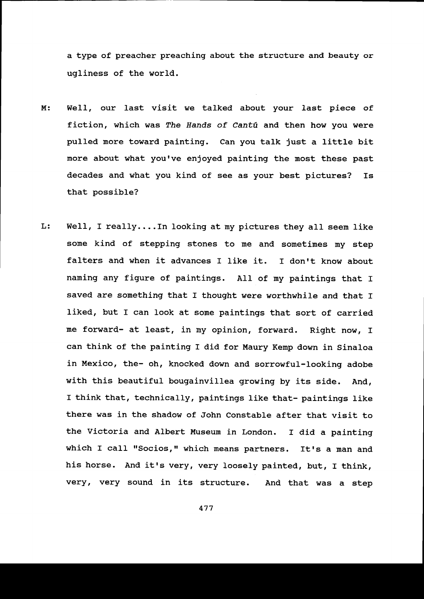a type of preacher preaching about the structure and beauty or ugliness of the world.

- Well, our last visit we talked about your last piece of  $M:$ fiction, which was The Hands of Cantú and then how you were pulled more toward painting. Can you talk just a little bit more about what you've enjoyed painting the most these past decades and what you kind of see as your best pictures? Is that possible?
- Well, I really....In looking at my pictures they all seem like L: some kind of stepping stones to me and sometimes my step falters and when it advances I like it. I don't know about naming any figure of paintings. All of my paintings that I saved are something that I thought were worthwhile and that I liked, but I can look at some paintings that sort of carried me forward- at least, in my opinion, forward. Right now, I can think of the painting I did for Maury Kenp down in Sinaloa in Mexico, the- oh, knocked down and sorrowful-looking adobe with this beautiful bougainvillea growing by its side. And, I think that, technically, paintings like that- paintings like there was in the shadow of John constable after that visit to the Victoria and Albert Museum in London. I did a painting which I call "Socios," which means partners. It's a man and his horse. And it's very, very loosely painted, but, I think, very, very sound in its structure. And that was a step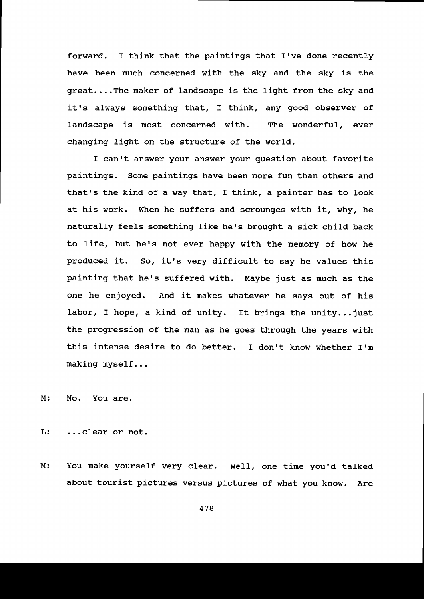forward. I think that the paintings that I've done recently have been much concerned with the sky and the sky is the great....The maker of landscape is the light from the sky and it's always something that, I think, any good observer of landscape is most concerned with. The wonderful, ever changing light on the structure of the world.

I can't answer your answer your question about favorite paintings. Some paintings have been more fun than others and that's the kind of a way that, I think, a painter has to look at his work. When he suffers and scrounges with it, why, he naturally feels something like he's brought a sick child back to life, but he's not ever happy with the memory of how he produced it. So, it's very difficult to say he values this painting that he's suffered with. Maybe just as much as the one he enjoyed. And it makes whatever he says out of his labor, I hope, a kind of unity. It brings the unity...just the progression of the man as he goes through the years with this intense desire to do better. I don't know whether I'm making myseIf...

M: No. You are.

L: ...clear or not.

You make yourself very clear. Well, one time you'd talked about tourist pictures versus pictures of what you know, Are M :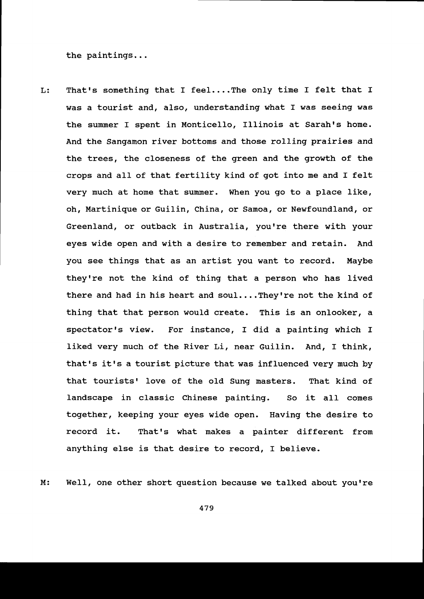the paintings...

L : That's something that I feel....The only time I felt that I was a tourist and, a1so, understanding what I was seeinq was the summer I spent in Monticello, Illinois at Sarah's home. And the Sangamon river bottoms and those rolling prairies and the trees, the closeness of the green and the growth of the crops and all of that fertility kind of got into me and I felt very much at home that sunmer. When you go to a place like, oh, Martinique or Guilin, China, or Sanoa, or Newfoundland, or Greenland, or outback in Australia, you're there with your eyes wide open and with a desire to remember and retain. And you see things that as an artist you want to record. Maybe they're not the kind of thing that a person who has lived there and had in his heart and soul....They're not the kind of thing that that person would create. This is an onlooker, a spectator's view. For instance, I did a painting which I liked very much of the River Li, near Guilin. And, I think, that's it's a tourist picture that was influenced very much by that tourists' love of the old Sung masters. That kind of landscape in classic Chinese painting. So it all comes together, keeping your eyes wide open. Having the desire to record it. That's what makes a painter different from anything else is that desire to record, I believe.

M: Well, one other short question because we talked about you're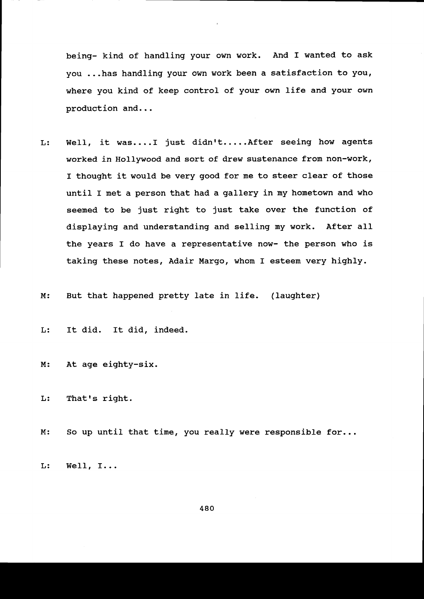being- kind of handling your own work. And I wanted to ask you ...has handling your own work been a satisfaction to you where you kind of keep control of your own life and your own production and...

- L: Well, it was....I just didn't.....After seeing how agents worked in Hollywood and sort of drew sustenance from non-work, I thought it would be very good for me to steer clear of those until I met a person that had a gallery in my hometown and who seemed to be just right to just take over the function of displaying and understanding and selling ny work. After aII the years I do have a representative now- the person who is taking these notes, Adair Margo, whom I esteem very highly.
- $M:$ But that happened pretty late in life. (laughter)

L: It did. It did, indeed.

At age eighty-six.  $M:$ 

 $L:$ That's right.

 $M:$ So up until that time, you really were responsible for...

L: We1l, I...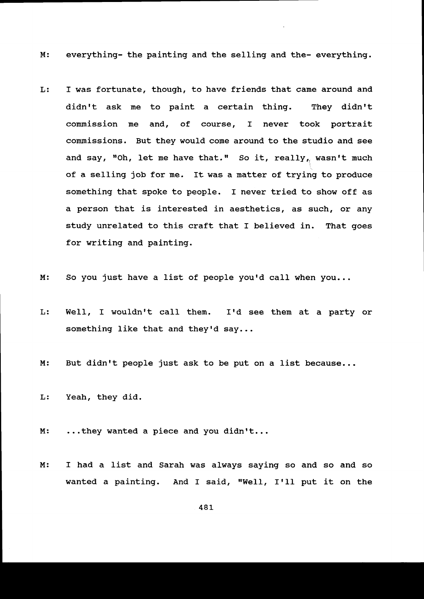M: everything- the painting and the selling and the- everything.

- L : I was fortunate, though, to have friends that came around and didn't ask me to paint a certain thing. They didn't commission me and, of course, I never took portrait commissions. But they would come around to the studio and see and say, "Oh, let me have that." So it, really, wasn't much of a selling job for me. It was a matter of trying to produce something that spoke to people. I never tried to show off as a person that is interested in aesthetics, as such, or any study unrelated to this craft that I believed in. That goes for writing and painting.
- M: So you just have a list of people you'd call when you...
- L: Well, I wouldn't call them. I'd see them at a party or something like that and they'd say...
- M: But didn't people just ask to be put on a list because...

L: Yeah, they did.

M: ...they wanted a piece and you didn't...

M: I had a list and Sarah was always saying so and so and so wanted a painting. And I said, "Well, I'll put it on the

48L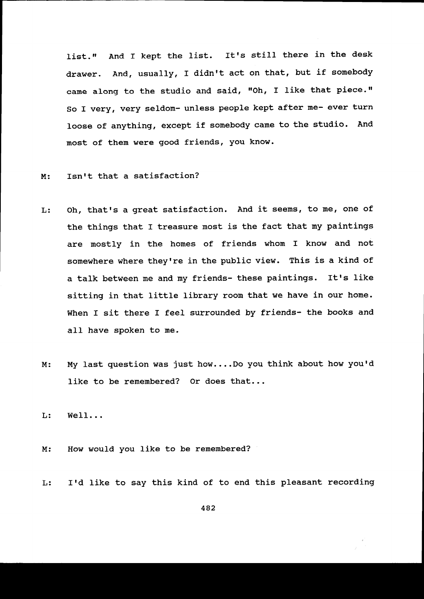list." And I kept the list. It's still there in the desk drawer. And, usually, I didn't act on that, but if somebody came along to the studio and said, "Oh, I like that piece." So I very, very seldom- unless people kept after me- ever turn loose of anything, except if somebody came to the studio. And most of them were good friends, You know.

#### Isn't that a satisfaction?  $M:$

- L : Oh, that's a great satisfaction. And it seems, to me, one of the things that I treasure most is the fact that my paintings are mostly in the homes of friends whom I know and not somewhere where they're in the public view. This is a kind of a talk between me and my friends- these paintings. It's like sitting in that little library room that we have in our home. When I sit there I feel surrounded by friends- the books and all have spoken to me.
- M: My last question was just how....Do you think about how you'd like to be remembered? Or does that...

L: WelI. . .

- M: How would you like to be remembered?
- I'd like to say this kind of to end this pleasant recording L: